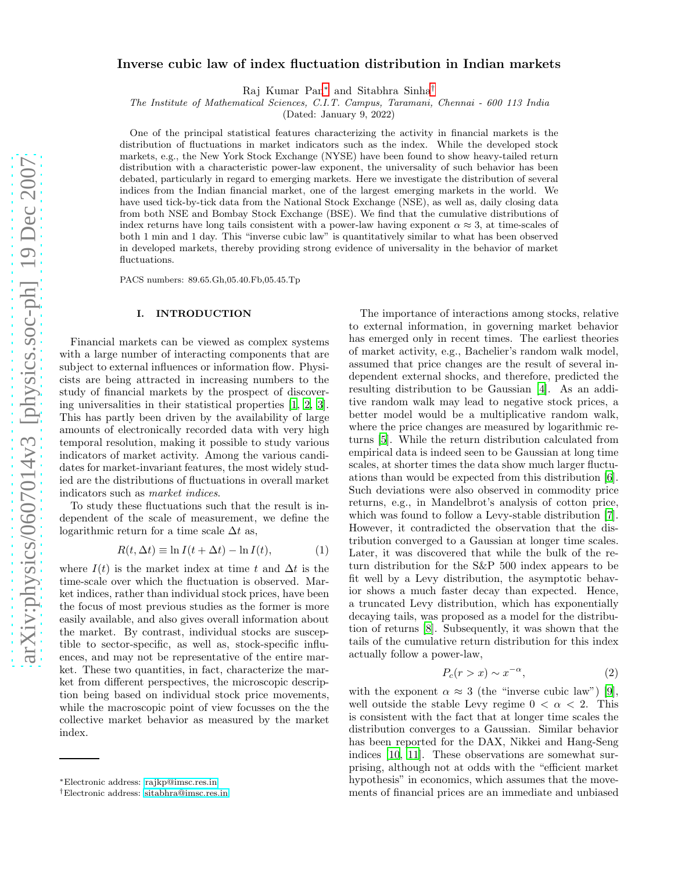# Inverse cubic law of index fluctuation distribution in Indian markets

Raj Kumar Pan[∗](#page-0-0) and Sitabhra Sinha[†](#page-0-1)

The Institute of Mathematical Sciences, C.I.T. Campus, Taramani, Chennai - 600 113 India

(Dated: January 9, 2022)

One of the principal statistical features characterizing the activity in financial markets is the distribution of fluctuations in market indicators such as the index. While the developed stock markets, e.g., the New York Stock Exchange (NYSE) have been found to show heavy-tailed return distribution with a characteristic power-law exponent, the universality of such behavior has been debated, particularly in regard to emerging markets. Here we investigate the distribution of several indices from the Indian financial market, one of the largest emerging markets in the world. We have used tick-by-tick data from the National Stock Exchange (NSE), as well as, daily closing data from both NSE and Bombay Stock Exchange (BSE). We find that the cumulative distributions of index returns have long tails consistent with a power-law having exponent  $\alpha \approx 3$ , at time-scales of both 1 min and 1 day. This "inverse cubic law" is quantitatively similar to what has been observed in developed markets, thereby providing strong evidence of universality in the behavior of market fluctuations.

PACS numbers: 89.65.Gh,05.40.Fb,05.45.Tp

#### I. INTRODUCTION

Financial markets can be viewed as complex systems with a large number of interacting components that are subject to external influences or information flow. Physicists are being attracted in increasing numbers to the study of financial markets by the prospect of discovering universalities in their statistical properties [\[1,](#page-6-0) [2,](#page-7-0) [3\]](#page-7-1). This has partly been driven by the availability of large amounts of electronically recorded data with very high temporal resolution, making it possible to study various indicators of market activity. Among the various candidates for market-invariant features, the most widely studied are the distributions of fluctuations in overall market indicators such as market indices.

To study these fluctuations such that the result is independent of the scale of measurement, we define the logarithmic return for a time scale  $\Delta t$  as,

<span id="page-0-2"></span>
$$
R(t, \Delta t) \equiv \ln I(t + \Delta t) - \ln I(t), \tag{1}
$$

where  $I(t)$  is the market index at time t and  $\Delta t$  is the time-scale over which the fluctuation is observed. Market indices, rather than individual stock prices, have been the focus of most previous studies as the former is more easily available, and also gives overall information about the market. By contrast, individual stocks are susceptible to sector-specific, as well as, stock-specific influences, and may not be representative of the entire market. These two quantities, in fact, characterize the market from different perspectives, the microscopic description being based on individual stock price movements, while the macroscopic point of view focusses on the the collective market behavior as measured by the market index.

The importance of interactions among stocks, relative to external information, in governing market behavior has emerged only in recent times. The earliest theories of market activity, e.g., Bachelier's random walk model, assumed that price changes are the result of several independent external shocks, and therefore, predicted the resulting distribution to be Gaussian [\[4\]](#page-7-2). As an additive random walk may lead to negative stock prices, a better model would be a multiplicative random walk, where the price changes are measured by logarithmic returns [\[5](#page-7-3)]. While the return distribution calculated from empirical data is indeed seen to be Gaussian at long time scales, at shorter times the data show much larger fluctuations than would be expected from this distribution [\[6\]](#page-7-4). Such deviations were also observed in commodity price returns, e.g., in Mandelbrot's analysis of cotton price, which was found to follow a Levy-stable distribution [\[7\]](#page-7-5). However, it contradicted the observation that the distribution converged to a Gaussian at longer time scales. Later, it was discovered that while the bulk of the return distribution for the S&P 500 index appears to be fit well by a Levy distribution, the asymptotic behavior shows a much faster decay than expected. Hence, a truncated Levy distribution, which has exponentially decaying tails, was proposed as a model for the distribution of returns [\[8](#page-7-6)]. Subsequently, it was shown that the tails of the cumulative return distribution for this index actually follow a power-law,

$$
P_c(r > x) \sim x^{-\alpha},\tag{2}
$$

with the exponent  $\alpha \approx 3$  (the "inverse cubic law") [\[9\]](#page-7-7), well outside the stable Levy regime  $0 < \alpha < 2$ . This is consistent with the fact that at longer time scales the distribution converges to a Gaussian. Similar behavior has been reported for the DAX, Nikkei and Hang-Seng indices [\[10](#page-7-8), [11\]](#page-7-9). These observations are somewhat surprising, although not at odds with the "efficient market hypothesis" in economics, which assumes that the movements of financial prices are an immediate and unbiased

<span id="page-0-0"></span><sup>∗</sup>Electronic address: [rajkp@imsc.res.in](mailto:rajkp@imsc.res.in)

<span id="page-0-1"></span><sup>†</sup>Electronic address: [sitabhra@imsc.res.in](mailto:sitabhra@imsc.res.in)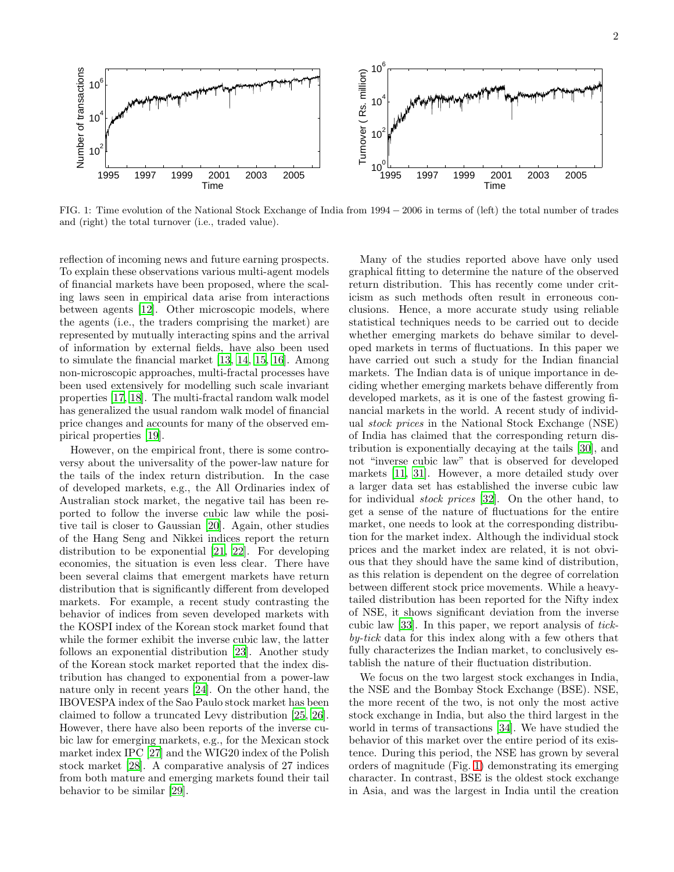

<span id="page-1-0"></span>FIG. 1: Time evolution of the National Stock Exchange of India from 1994 − 2006 in terms of (left) the total number of trades and (right) the total turnover (i.e., traded value).

reflection of incoming news and future earning prospects. To explain these observations various multi-agent models of financial markets have been proposed, where the scaling laws seen in empirical data arise from interactions between agents [\[12](#page-7-10)]. Other microscopic models, where the agents (i.e., the traders comprising the market) are represented by mutually interacting spins and the arrival of information by external fields, have also been used to simulate the financial market [\[13,](#page-7-11) [14,](#page-7-12) [15,](#page-7-13) [16\]](#page-7-14). Among non-microscopic approaches, multi-fractal processes have been used extensively for modelling such scale invariant properties [\[17,](#page-7-15) [18](#page-7-16)]. The multi-fractal random walk model has generalized the usual random walk model of financial price changes and accounts for many of the observed empirical properties [\[19](#page-7-17)].

However, on the empirical front, there is some controversy about the universality of the power-law nature for the tails of the index return distribution. In the case of developed markets, e.g., the All Ordinaries index of Australian stock market, the negative tail has been reported to follow the inverse cubic law while the positive tail is closer to Gaussian [\[20](#page-7-18)]. Again, other studies of the Hang Seng and Nikkei indices report the return distribution to be exponential [\[21](#page-7-19), [22\]](#page-7-20). For developing economies, the situation is even less clear. There have been several claims that emergent markets have return distribution that is significantly different from developed markets. For example, a recent study contrasting the behavior of indices from seven developed markets with the KOSPI index of the Korean stock market found that while the former exhibit the inverse cubic law, the latter follows an exponential distribution [\[23\]](#page-7-21). Another study of the Korean stock market reported that the index distribution has changed to exponential from a power-law nature only in recent years [\[24](#page-7-22)]. On the other hand, the IBOVESPA index of the Sao Paulo stock market has been claimed to follow a truncated Levy distribution [\[25](#page-7-23), [26\]](#page-7-24). However, there have also been reports of the inverse cubic law for emerging markets, e.g., for the Mexican stock market index IPC [\[27\]](#page-7-25) and the WIG20 index of the Polish stock market [\[28](#page-7-26)]. A comparative analysis of 27 indices from both mature and emerging markets found their tail behavior to be similar [\[29\]](#page-7-27).

Many of the studies reported above have only used graphical fitting to determine the nature of the observed return distribution. This has recently come under criticism as such methods often result in erroneous conclusions. Hence, a more accurate study using reliable statistical techniques needs to be carried out to decide whether emerging markets do behave similar to developed markets in terms of fluctuations. In this paper we have carried out such a study for the Indian financial markets. The Indian data is of unique importance in deciding whether emerging markets behave differently from developed markets, as it is one of the fastest growing financial markets in the world. A recent study of individual stock prices in the National Stock Exchange (NSE) of India has claimed that the corresponding return distribution is exponentially decaying at the tails [\[30\]](#page-7-28), and not "inverse cubic law" that is observed for developed markets [\[11,](#page-7-9) [31\]](#page-7-29). However, a more detailed study over a larger data set has established the inverse cubic law for individual stock prices [\[32\]](#page-7-30). On the other hand, to get a sense of the nature of fluctuations for the entire market, one needs to look at the corresponding distribution for the market index. Although the individual stock prices and the market index are related, it is not obvious that they should have the same kind of distribution, as this relation is dependent on the degree of correlation between different stock price movements. While a heavytailed distribution has been reported for the Nifty index of NSE, it shows significant deviation from the inverse cubic law [\[33](#page-7-31)]. In this paper, we report analysis of tickby-tick data for this index along with a few others that fully characterizes the Indian market, to conclusively establish the nature of their fluctuation distribution.

We focus on the two largest stock exchanges in India, the NSE and the Bombay Stock Exchange (BSE). NSE, the more recent of the two, is not only the most active stock exchange in India, but also the third largest in the world in terms of transactions [\[34\]](#page-7-32). We have studied the behavior of this market over the entire period of its existence. During this period, the NSE has grown by several orders of magnitude (Fig. [1\)](#page-1-0) demonstrating its emerging character. In contrast, BSE is the oldest stock exchange in Asia, and was the largest in India until the creation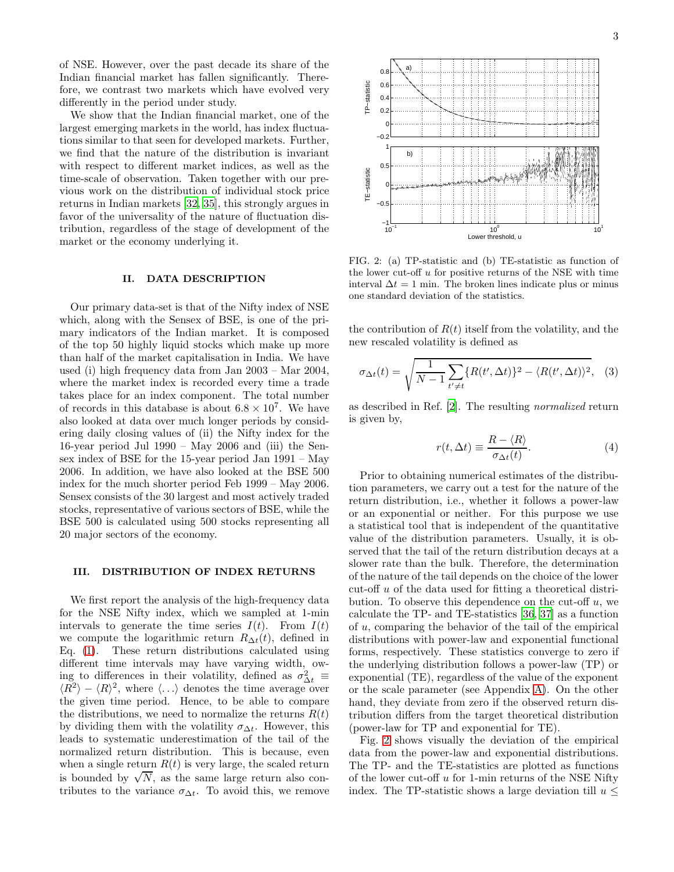of NSE. However, over the past decade its share of the Indian financial market has fallen significantly. Therefore, we contrast two markets which have evolved very differently in the period under study.

We show that the Indian financial market, one of the largest emerging markets in the world, has index fluctuations similar to that seen for developed markets. Further, we find that the nature of the distribution is invariant with respect to different market indices, as well as the time-scale of observation. Taken together with our previous work on the distribution of individual stock price returns in Indian markets [\[32,](#page-7-30) [35\]](#page-7-33), this strongly argues in favor of the universality of the nature of fluctuation distribution, regardless of the stage of development of the market or the economy underlying it.

### II. DATA DESCRIPTION

Our primary data-set is that of the Nifty index of NSE which, along with the Sensex of BSE, is one of the primary indicators of the Indian market. It is composed of the top 50 highly liquid stocks which make up more than half of the market capitalisation in India. We have used (i) high frequency data from Jan 2003 – Mar 2004, where the market index is recorded every time a trade takes place for an index component. The total number of records in this database is about  $6.8 \times 10^7$ . We have also looked at data over much longer periods by considering daily closing values of (ii) the Nifty index for the 16-year period Jul 1990 – May 2006 and (iii) the Sensex index of BSE for the 15-year period Jan 1991 – May 2006. In addition, we have also looked at the BSE 500 index for the much shorter period Feb 1999 – May 2006. Sensex consists of the 30 largest and most actively traded stocks, representative of various sectors of BSE, while the BSE 500 is calculated using 500 stocks representing all 20 major sectors of the economy.

#### III. DISTRIBUTION OF INDEX RETURNS

We first report the analysis of the high-frequency data for the NSE Nifty index, which we sampled at 1-min intervals to generate the time series  $I(t)$ . From  $I(t)$ we compute the logarithmic return  $R_{\Delta t}(t)$ , defined in Eq. [\(1\)](#page-0-2). These return distributions calculated using different time intervals may have varying width, owing to differences in their volatility, defined as  $\sigma_{\Delta t}^2 \equiv$  $\langle R^2 \rangle - \langle R \rangle^2$ , where  $\langle ... \rangle$  denotes the time average over the given time period. Hence, to be able to compare the distributions, we need to normalize the returns  $R(t)$ by dividing them with the volatility  $\sigma_{\Delta t}$ . However, this leads to systematic underestimation of the tail of the normalized return distribution. This is because, even when a single return  $R(t)$  is very large, the scaled return is bounded by  $\sqrt{N}$ , as the same large return also contributes to the variance  $\sigma_{\Delta t}$ . To avoid this, we remove



<span id="page-2-0"></span>FIG. 2: (a) TP-statistic and (b) TE-statistic as function of the lower cut-off  $u$  for positive returns of the NSE with time interval  $\Delta t = 1$  min. The broken lines indicate plus or minus one standard deviation of the statistics.

the contribution of  $R(t)$  itself from the volatility, and the new rescaled volatility is defined as

$$
\sigma_{\Delta t}(t) = \sqrt{\frac{1}{N-1} \sum_{t' \neq t} \{R(t', \Delta t)\}^2 - \langle R(t', \Delta t)\rangle^2}, \quad (3)
$$

as described in Ref. [\[2](#page-7-0)]. The resulting normalized return is given by,

$$
r(t, \Delta t) \equiv \frac{R - \langle R \rangle}{\sigma_{\Delta t}(t)}.
$$
 (4)

Prior to obtaining numerical estimates of the distribution parameters, we carry out a test for the nature of the return distribution, i.e., whether it follows a power-law or an exponential or neither. For this purpose we use a statistical tool that is independent of the quantitative value of the distribution parameters. Usually, it is observed that the tail of the return distribution decays at a slower rate than the bulk. Therefore, the determination of the nature of the tail depends on the choice of the lower cut-off u of the data used for fitting a theoretical distribution. To observe this dependence on the cut-off  $u$ , we calculate the TP- and TE-statistics [\[36](#page-7-34), [37\]](#page-7-35) as a function of u, comparing the behavior of the tail of the empirical distributions with power-law and exponential functional forms, respectively. These statistics converge to zero if the underlying distribution follows a power-law (TP) or exponential (TE), regardless of the value of the exponent or the scale parameter (see Appendix [A\)](#page-5-0). On the other hand, they deviate from zero if the observed return distribution differs from the target theoretical distribution (power-law for TP and exponential for TE).

Fig. [2](#page-2-0) shows visually the deviation of the empirical data from the power-law and exponential distributions. The TP- and the TE-statistics are plotted as functions of the lower cut-off  $u$  for 1-min returns of the NSE Nifty index. The TP-statistic shows a large deviation till  $u \leq$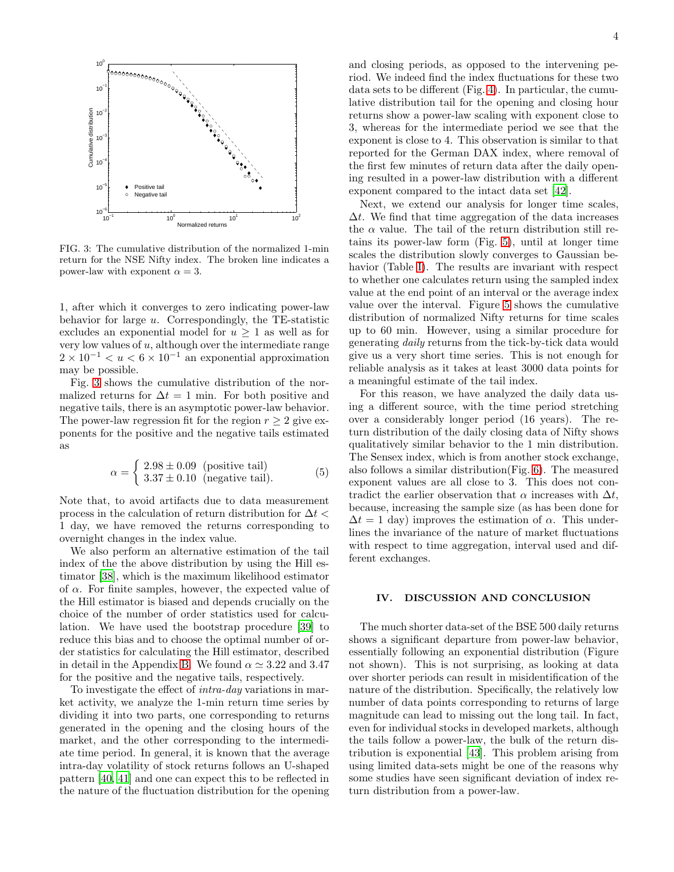

<span id="page-3-0"></span>FIG. 3: The cumulative distribution of the normalized 1-min return for the NSE Nifty index. The broken line indicates a power-law with exponent  $\alpha = 3$ .

1, after which it converges to zero indicating power-law behavior for large  $u$ . Correspondingly, the TE-statistic excludes an exponential model for  $u \geq 1$  as well as for very low values of  $u$ , although over the intermediate range  $2 \times 10^{-1} < u < 6 \times 10^{-1}$  an exponential approximation may be possible.

Fig. [3](#page-3-0) shows the cumulative distribution of the normalized returns for  $\Delta t = 1$  min. For both positive and negative tails, there is an asymptotic power-law behavior. The power-law regression fit for the region  $r \geq 2$  give exponents for the positive and the negative tails estimated as

$$
\alpha = \begin{cases} 2.98 \pm 0.09 \text{ (positive tail)} \\ 3.37 \pm 0.10 \text{ (negative tail)}. \end{cases} (5)
$$

Note that, to avoid artifacts due to data measurement process in the calculation of return distribution for  $\Delta t$ 1 day, we have removed the returns corresponding to overnight changes in the index value.

We also perform an alternative estimation of the tail index of the the above distribution by using the Hill estimator [\[38\]](#page-7-36), which is the maximum likelihood estimator of  $\alpha$ . For finite samples, however, the expected value of the Hill estimator is biased and depends crucially on the choice of the number of order statistics used for calculation. We have used the bootstrap procedure [\[39\]](#page-7-37) to reduce this bias and to choose the optimal number of order statistics for calculating the Hill estimator, described in detail in the Appendix [B.](#page-6-1) We found  $\alpha \simeq 3.22$  and 3.47 for the positive and the negative tails, respectively.

To investigate the effect of intra-day variations in market activity, we analyze the 1-min return time series by dividing it into two parts, one corresponding to returns generated in the opening and the closing hours of the market, and the other corresponding to the intermediate time period. In general, it is known that the average intra-day volatility of stock returns follows an U-shaped pattern [\[40,](#page-7-38) [41](#page-7-39)] and one can expect this to be reflected in the nature of the fluctuation distribution for the opening and closing periods, as opposed to the intervening period. We indeed find the index fluctuations for these two data sets to be different (Fig. [4\)](#page-4-0). In particular, the cumulative distribution tail for the opening and closing hour returns show a power-law scaling with exponent close to 3, whereas for the intermediate period we see that the exponent is close to 4. This observation is similar to that reported for the German DAX index, where removal of the first few minutes of return data after the daily opening resulted in a power-law distribution with a different exponent compared to the intact data set [\[42](#page-7-40)].

Next, we extend our analysis for longer time scales,  $\Delta t$ . We find that time aggregation of the data increases the  $\alpha$  value. The tail of the return distribution still retains its power-law form (Fig. [5\)](#page-4-1), until at longer time scales the distribution slowly converges to Gaussian behavior (Table [I\)](#page-4-2). The results are invariant with respect to whether one calculates return using the sampled index value at the end point of an interval or the average index value over the interval. Figure [5](#page-4-1) shows the cumulative distribution of normalized Nifty returns for time scales up to 60 min. However, using a similar procedure for generating daily returns from the tick-by-tick data would give us a very short time series. This is not enough for reliable analysis as it takes at least 3000 data points for a meaningful estimate of the tail index.

For this reason, we have analyzed the daily data using a different source, with the time period stretching over a considerably longer period (16 years). The return distribution of the daily closing data of Nifty shows qualitatively similar behavior to the 1 min distribution. The Sensex index, which is from another stock exchange, also follows a similar distribution(Fig. [6\)](#page-5-1). The measured exponent values are all close to 3. This does not contradict the earlier observation that  $\alpha$  increases with  $\Delta t$ , because, increasing the sample size (as has been done for  $\Delta t = 1$  day) improves the estimation of  $\alpha$ . This underlines the invariance of the nature of market fluctuations with respect to time aggregation, interval used and different exchanges.

### IV. DISCUSSION AND CONCLUSION

The much shorter data-set of the BSE 500 daily returns shows a significant departure from power-law behavior, essentially following an exponential distribution (Figure not shown). This is not surprising, as looking at data over shorter periods can result in misidentification of the nature of the distribution. Specifically, the relatively low number of data points corresponding to returns of large magnitude can lead to missing out the long tail. In fact, even for individual stocks in developed markets, although the tails follow a power-law, the bulk of the return distribution is exponential [\[43](#page-7-41)]. This problem arising from using limited data-sets might be one of the reasons why some studies have seen significant deviation of index return distribution from a power-law.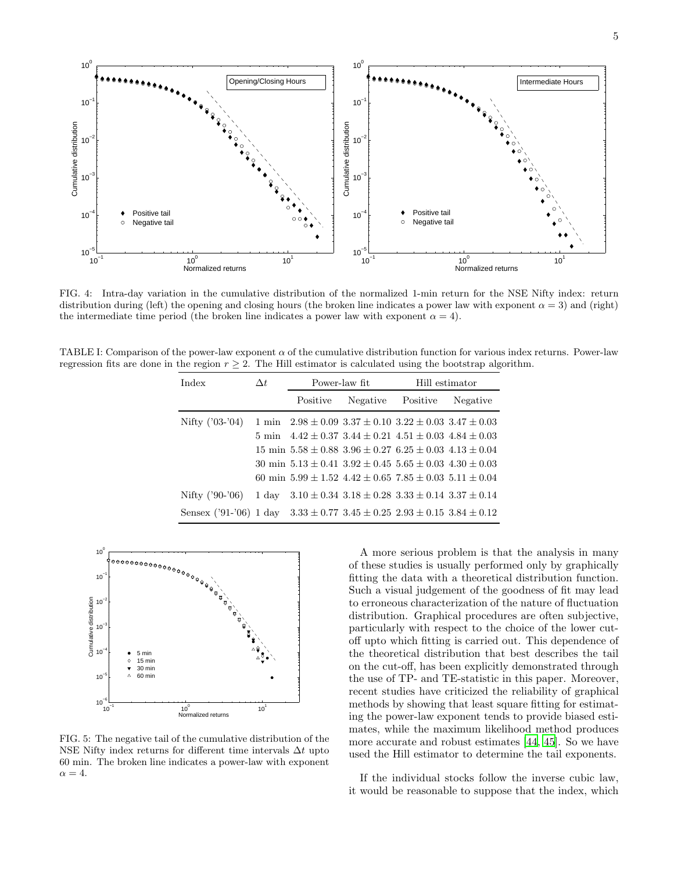

<span id="page-4-0"></span>FIG. 4: Intra-day variation in the cumulative distribution of the normalized 1-min return for the NSE Nifty index: return distribution during (left) the opening and closing hours (the broken line indicates a power law with exponent  $\alpha = 3$ ) and (right) the intermediate time period (the broken line indicates a power law with exponent  $\alpha = 4$ ).

<span id="page-4-2"></span>TABLE I: Comparison of the power-law exponent  $\alpha$  of the cumulative distribution function for various index returns. Power-law regression fits are done in the region  $r \geq 2$ . The Hill estimator is calculated using the bootstrap algorithm.

| Index                                                                                  | $\Delta t$ | Power-law fit |          | Hill estimator                                                                  |          |
|----------------------------------------------------------------------------------------|------------|---------------|----------|---------------------------------------------------------------------------------|----------|
|                                                                                        |            | Positive      | Negative | Positive                                                                        | Negative |
| Nifty $('03-'04)$                                                                      |            |               |          | 1 min $2.98 \pm 0.09$ $3.37 \pm 0.10$ $3.22 \pm 0.03$ $3.47 \pm 0.03$           |          |
|                                                                                        |            |               |          | 5 min $4.42 \pm 0.37$ $3.44 \pm 0.21$ $4.51 \pm 0.03$ $4.84 \pm 0.03$           |          |
|                                                                                        |            |               |          | $15 \text{ min } 5.58 \pm 0.88$ $3.96 \pm 0.27$ $6.25 \pm 0.03$ $4.13 \pm 0.04$ |          |
|                                                                                        |            |               |          | 30 min $5.13 \pm 0.41$ $3.92 \pm 0.45$ $5.65 \pm 0.03$ $4.30 \pm 0.03$          |          |
|                                                                                        |            |               |          | 60 min $5.99 \pm 1.52$ $4.42 \pm 0.65$ $7.85 \pm 0.03$ $5.11 \pm 0.04$          |          |
| Nifty $('90-'06)$                                                                      | 1 day      |               |          | $3.10 \pm 0.34$ $3.18 \pm 0.28$ $3.33 \pm 0.14$ $3.37 \pm 0.14$                 |          |
| Sensex ('91-'06) 1 day $3.33 \pm 0.77$ $3.45 \pm 0.25$ $2.93 \pm 0.15$ $3.84 \pm 0.12$ |            |               |          |                                                                                 |          |



<span id="page-4-1"></span>FIG. 5: The negative tail of the cumulative distribution of the NSE Nifty index returns for different time intervals  $\Delta t$  upto 60 min. The broken line indicates a power-law with exponent  $\alpha = 4.$ 

A more serious problem is that the analysis in many of these studies is usually performed only by graphically fitting the data with a theoretical distribution function. Such a visual judgement of the goodness of fit may lead to erroneous characterization of the nature of fluctuation distribution. Graphical procedures are often subjective, particularly with respect to the choice of the lower cutoff upto which fitting is carried out. This dependence of the theoretical distribution that best describes the tail on the cut-off, has been explicitly demonstrated through the use of TP- and TE-statistic in this paper. Moreover, recent studies have criticized the reliability of graphical methods by showing that least square fitting for estimating the power-law exponent tends to provide biased estimates, while the maximum likelihood method produces more accurate and robust estimates [\[44](#page-7-42), [45](#page-7-43)]. So we have used the Hill estimator to determine the tail exponents.

If the individual stocks follow the inverse cubic law, it would be reasonable to suppose that the index, which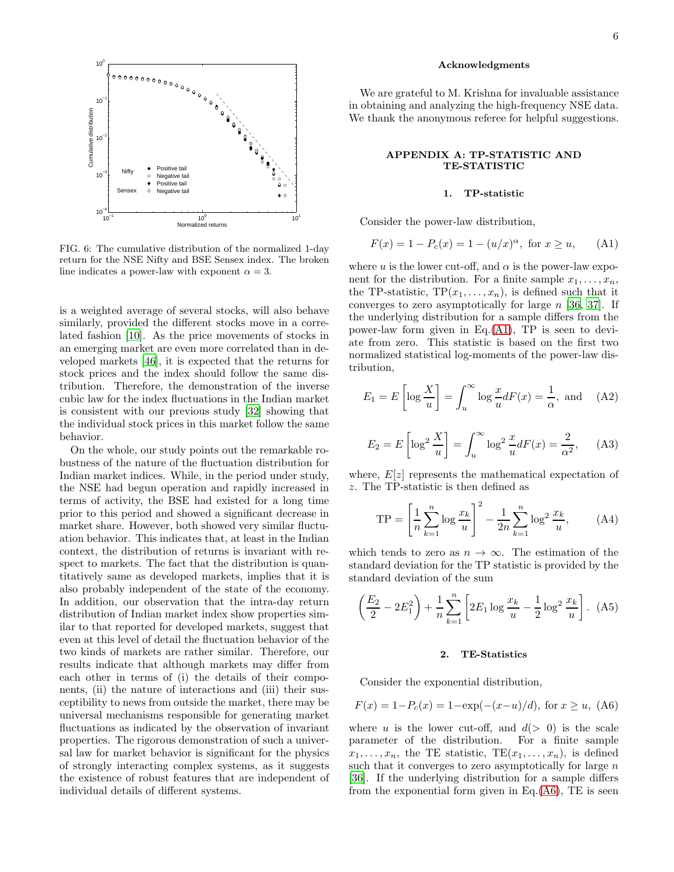

<span id="page-5-1"></span>FIG. 6: The cumulative distribution of the normalized 1-day return for the NSE Nifty and BSE Sensex index. The broken line indicates a power-law with exponent  $\alpha = 3$ .

is a weighted average of several stocks, will also behave similarly, provided the different stocks move in a correlated fashion [\[10\]](#page-7-8). As the price movements of stocks in an emerging market are even more correlated than in developed markets [\[46](#page-7-44)], it is expected that the returns for stock prices and the index should follow the same distribution. Therefore, the demonstration of the inverse cubic law for the index fluctuations in the Indian market is consistent with our previous study [\[32](#page-7-30)] showing that the individual stock prices in this market follow the same behavior.

On the whole, our study points out the remarkable robustness of the nature of the fluctuation distribution for Indian market indices. While, in the period under study, the NSE had begun operation and rapidly increased in terms of activity, the BSE had existed for a long time prior to this period and showed a significant decrease in market share. However, both showed very similar fluctuation behavior. This indicates that, at least in the Indian context, the distribution of returns is invariant with respect to markets. The fact that the distribution is quantitatively same as developed markets, implies that it is also probably independent of the state of the economy. In addition, our observation that the intra-day return distribution of Indian market index show properties similar to that reported for developed markets, suggest that even at this level of detail the fluctuation behavior of the two kinds of markets are rather similar. Therefore, our results indicate that although markets may differ from each other in terms of (i) the details of their components, (ii) the nature of interactions and (iii) their susceptibility to news from outside the market, there may be universal mechanisms responsible for generating market fluctuations as indicated by the observation of invariant properties. The rigorous demonstration of such a universal law for market behavior is significant for the physics of strongly interacting complex systems, as it suggests the existence of robust features that are independent of individual details of different systems.

#### Acknowledgments

We are grateful to M. Krishna for invaluable assistance in obtaining and analyzing the high-frequency NSE data. We thank the anonymous referee for helpful suggestions.

#### <span id="page-5-0"></span>APPENDIX A: TP-STATISTIC AND TE-STATISTIC

#### 1. TP-statistic

Consider the power-law distribution,

<span id="page-5-2"></span>
$$
F(x) = 1 - P_c(x) = 1 - (u/x)^{\alpha}, \text{ for } x \ge u,
$$
 (A1)

where u is the lower cut-off, and  $\alpha$  is the power-law exponent for the distribution. For a finite sample  $x_1, \ldots, x_n$ , the TP-statistic,  $TP(x_1, \ldots, x_n)$ , is defined such that it converges to zero asymptotically for large n [\[36](#page-7-34), [37\]](#page-7-35). If the underlying distribution for a sample differs from the power-law form given in  $Eq.(A1)$  $Eq.(A1)$ , TP is seen to deviate from zero. This statistic is based on the first two normalized statistical log-moments of the power-law distribution,

$$
E_1 = E\left[\log \frac{X}{u}\right] = \int_u^\infty \log \frac{x}{u} dF(x) = \frac{1}{\alpha}, \text{ and } (A2)
$$

$$
E_2 = E\left[\log^2 \frac{X}{u}\right] = \int_u^\infty \log^2 \frac{x}{u} dF(x) = \frac{2}{\alpha^2},\quad (A3)
$$

where,  $E[z]$  represents the mathematical expectation of z. The TP-statistic is then defined as

$$
TP = \left[\frac{1}{n}\sum_{k=1}^{n}\log\frac{x_k}{u}\right]^2 - \frac{1}{2n}\sum_{k=1}^{n}\log^2\frac{x_k}{u},\qquad(A4)
$$

which tends to zero as  $n \to \infty$ . The estimation of the standard deviation for the TP statistic is provided by the standard deviation of the sum

$$
\left(\frac{E_2}{2} - 2E_1^2\right) + \frac{1}{n} \sum_{k=1}^n \left[2E_1 \log \frac{x_k}{u} - \frac{1}{2} \log^2 \frac{x_k}{u}\right].
$$
 (A5)

## 2. TE-Statistics

Consider the exponential distribution,

<span id="page-5-3"></span>
$$
F(x) = 1 - P_c(x) = 1 - \exp(-(x - u)/d), \text{ for } x \ge u, \text{ (A6)}
$$

where u is the lower cut-off, and  $d(> 0)$  is the scale parameter of the distribution. For a finite sample  $x_1, \ldots, x_n$ , the TE statistic, TE $(x_1, \ldots, x_n)$ , is defined such that it converges to zero asymptotically for large  $n$ [\[36\]](#page-7-34). If the underlying distribution for a sample differs from the exponential form given in Eq. $(A6)$ , TE is seen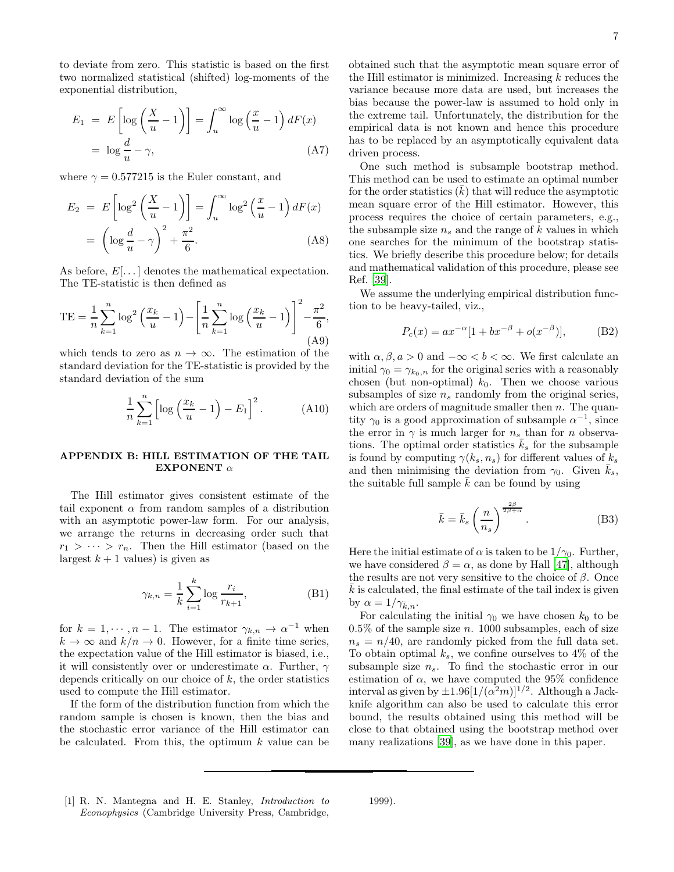to deviate from zero. This statistic is based on the first two normalized statistical (shifted) log-moments of the exponential distribution,

$$
E_1 = E\left[\log\left(\frac{X}{u} - 1\right)\right] = \int_u^\infty \log\left(\frac{x}{u} - 1\right) dF(x)
$$

$$
= \log\frac{d}{u} - \gamma,
$$
 (A7)

where  $\gamma = 0.577215$  is the Euler constant, and

$$
E_2 = E\left[\log^2\left(\frac{X}{u} - 1\right)\right] = \int_u^\infty \log^2\left(\frac{x}{u} - 1\right) dF(x)
$$

$$
= \left(\log\frac{d}{u} - \gamma\right)^2 + \frac{\pi^2}{6}.
$$
 (A8)

As before,  $E[\dots]$  denotes the mathematical expectation. The TE-statistic is then defined as

$$
TE = \frac{1}{n} \sum_{k=1}^{n} \log^2 \left( \frac{x_k}{u} - 1 \right) - \left[ \frac{1}{n} \sum_{k=1}^{n} \log \left( \frac{x_k}{u} - 1 \right) \right]^2 - \frac{\pi^2}{6},\tag{A9}
$$

which tends to zero as  $n \to \infty$ . The estimation of the standard deviation for the TE-statistic is provided by the standard deviation of the sum

$$
\frac{1}{n}\sum_{k=1}^{n} \left[ \log \left( \frac{x_k}{u} - 1 \right) - E_1 \right]^2.
$$
 (A10)

### <span id="page-6-1"></span>APPENDIX B: HILL ESTIMATION OF THE TAIL EXPONENT  $\alpha$

The Hill estimator gives consistent estimate of the tail exponent  $\alpha$  from random samples of a distribution with an asymptotic power-law form. For our analysis, we arrange the returns in decreasing order such that  $r_1 > \cdots > r_n$ . Then the Hill estimator (based on the largest  $k + 1$  values) is given as

$$
\gamma_{k,n} = \frac{1}{k} \sum_{i=1}^{k} \log \frac{r_i}{r_{k+1}},
$$
 (B1)

for  $k = 1, \dots, n-1$ . The estimator  $\gamma_{k,n} \to \alpha^{-1}$  when  $k \to \infty$  and  $k/n \to 0$ . However, for a finite time series, the expectation value of the Hill estimator is biased, i.e., it will consistently over or underestimate  $\alpha$ . Further,  $\gamma$ depends critically on our choice of  $k$ , the order statistics used to compute the Hill estimator.

If the form of the distribution function from which the random sample is chosen is known, then the bias and the stochastic error variance of the Hill estimator can be calculated. From this, the optimum  $k$  value can be obtained such that the asymptotic mean square error of the Hill estimator is minimized. Increasing  $k$  reduces the variance because more data are used, but increases the bias because the power-law is assumed to hold only in the extreme tail. Unfortunately, the distribution for the empirical data is not known and hence this procedure has to be replaced by an asymptotically equivalent data driven process.

One such method is subsample bootstrap method. This method can be used to estimate an optimal number for the order statistics  $(k)$  that will reduce the asymptotic mean square error of the Hill estimator. However, this process requires the choice of certain parameters, e.g., the subsample size  $n_s$  and the range of k values in which one searches for the minimum of the bootstrap statistics. We briefly describe this procedure below; for details and mathematical validation of this procedure, please see Ref. [\[39\]](#page-7-37).

We assume the underlying empirical distribution function to be heavy-tailed, viz.,

$$
P_c(x) = ax^{-\alpha} [1 + bx^{-\beta} + o(x^{-\beta})],
$$
 (B2)

with  $\alpha, \beta, a > 0$  and  $-\infty < b < \infty$ . We first calculate an initial  $\gamma_0 = \gamma_{k_0,n}$  for the original series with a reasonably chosen (but non-optimal)  $k_0$ . Then we choose various subsamples of size  $n_s$  randomly from the original series, which are orders of magnitude smaller then  $n$ . The quantity  $\gamma_0$  is a good approximation of subsample  $\alpha^{-1}$ , since the error in  $\gamma$  is much larger for  $n_s$  than for n observations. The optimal order statistics  $\bar{k}_s$  for the subsample is found by computing  $\gamma(k_s, n_s)$  for different values of  $k_s$ and then minimising the deviation from  $\gamma_0$ . Given  $\bar{k}_s$ , the suitable full sample  $\bar{k}$  can be found by using

$$
\bar{k} = \bar{k}_s \left(\frac{n}{n_s}\right)^{\frac{2\beta}{2\beta+\alpha}}.\tag{B3}
$$

Here the initial estimate of  $\alpha$  is taken to be  $1/\gamma_0$ . Further, we have considered  $\beta = \alpha$ , as done by Hall [\[47\]](#page-7-45), although the results are not very sensitive to the choice of  $\beta$ . Once  $k$  is calculated, the final estimate of the tail index is given by  $\alpha = 1/\gamma_{\bar{k},n}$ .

For calculating the initial  $\gamma_0$  we have chosen  $k_0$  to be  $0.5\%$  of the sample size n. 1000 subsamples, each of size  $n_s = n/40$ , are randomly picked from the full data set. To obtain optimal  $k_s$ , we confine ourselves to 4% of the subsample size  $n_s$ . To find the stochastic error in our estimation of  $\alpha$ , we have computed the 95% confidence interval as given by  $\pm 1.96[1/(\alpha^2 m)]^{1/2}$ . Although a Jackknife algorithm can also be used to calculate this error bound, the results obtained using this method will be close to that obtained using the bootstrap method over many realizations [\[39\]](#page-7-37), as we have done in this paper.

<span id="page-6-0"></span>[1] R. N. Mantegna and H. E. Stanley, Introduction to Econophysics (Cambridge University Press, Cambridge, 1999).